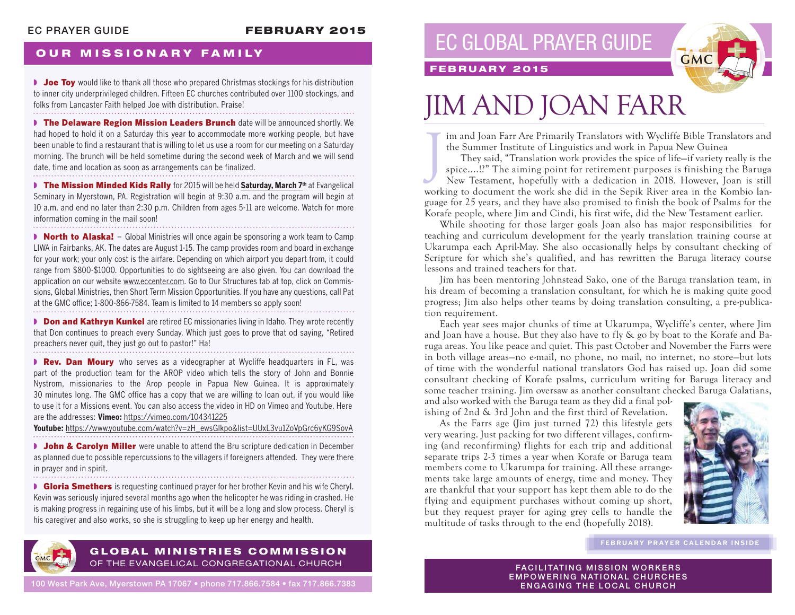### EC PRAYER GUIDE **FEBRUARY 2015**

## **OUR MISSIONARY FAMILY**

■ **Joe Toy** would like to thank all those who prepared Christmas stockings for his distribution to inner city underprivileged children. Fifteen EC churches contributed over 1100 stockings, and folks from Lancaster Faith helped Joe with distribution. Praise!

**▶ The Delaware Region Mission Leaders Brunch** date will be announced shortly. We had hoped to hold it on a Saturday this year to accommodate more working people, but have been unable to find a restaurant that is willing to let us use a room for our meeting on a Saturday morning. The brunch will be held sometime during the second week of March and we will send date, time and location as soon as arrangements can be finalized.

**■ The Mission Minded Kids Rally** for 2015 will be held Saturday, March 7<sup>th</sup> at Evangelical Seminary in Myerstown, PA. Registration will begin at 9:30 a.m. and the program will begin at 10 a.m. and end no later than 2:30 p.m. Children from ages 5-11 are welcome. Watch for more information coming in the mail soon!

**▶ North to Alaska!** – Global Ministries will once again be sponsoring a work team to Camp LIWA in Fairbanks, AK. The dates are August 1-15. The camp provides room and board in exchange for your work; your only cost is the airfare. Depending on which airport you depart from, it could range from \$800-\$1000. Opportunities to do sightseeing are also given. You can download the application on our website www.eccenter.com. Go to Our Structures tab at top, click on Commissions, Global Ministries, then Short Term Mission Opportunities. If you have any questions, call Pat at the GMC office; 1-800-866-7584. Team is limited to 14 members so apply soon!

**D** Don and Kathryn Kunkel are retired EC missionaries living in Idaho. They wrote recently that Don continues to preach every Sunday. Which just goes to prove that od saying, "Retired preachers never quit, they just go out to pastor!" Ha!

**■ Rev. Dan Moury** who serves as a videographer at Wycliffe headquarters in FL, was part of the production team for the AROP video which tells the story of John and Bonnie Nystrom, missionaries to the Arop people in Papua New Guinea. It is approximately 30 minutes long. The GMC office has a copy that we are willing to loan out, if you would like to use it for a Missions event. You can also access the video in HD on Vimeo and Youtube. Here are the addresses: **Vimeo:** https://vimeo.com/104341225

**Youtube:** https://www.youtube.com/watch?v=zH\_ewsGlkpo&list=UUxL3vu1ZoVpGrc6yKG9SovA

**• John & Carolyn Miller** were unable to attend the Bru scripture dedication in December as planned due to possible repercussions to the villagers if foreigners attended. They were there in prayer and in spirit.

**■ Gloria Smethers** is requesting continued prayer for her brother Kevin and his wife Cheryl. Kevin was seriously injured several months ago when the helicopter he was riding in crashed. He is making progress in regaining use of his limbs, but it will be a long and slow process. Cheryl is his caregiver and also works, so she is struggling to keep up her energy and health.



#### GLOBAL MINISTRIES COMMISSION OF THE EVANGELICAL CONGREGATIONAL CHURCH

100 West Park Ave, Myerstown PA 17067 • phone 717.866.7584 • fax 717.866.7383

# EC GLOBAL PRAYER GUIDE



### FEBRUARY 2015

# JIM AND JOAN FARR

im and Joan Farr Are Primarily Translators with Wycliffe Bible Translators and the Summer Institute of Linguistics and work in Papua New Guinea

J They said, "Translation work provides the spice of life—if variety really is the spice....!?" The aiming point for retirement purposes is finishing the Baruga New Testament, hopefully with a dedication in 2018. However, Joan is still working to document the work she did in the Sepik River area in the Kombio language for 25 years, and they have also promised to finish the book of Psalms for the Korafe people, where Jim and Cindi, his first wife, did the New Testament earlier.

While shooting for those larger goals Joan also has major responsibilities for teaching and curriculum development for the yearly translation training course at Ukarumpa each April-May. She also occasionally helps by consultant checking of Scripture for which she's qualified, and has rewritten the Baruga literacy course lessons and trained teachers for that.

Jim has been mentoring Johnstead Sako, one of the Baruga translation team, in his dream of becoming a translation consultant, for which he is making quite good progress; Jim also helps other teams by doing translation consulting, a pre-publication requirement.

Each year sees major chunks of time at Ukarumpa, Wycliffe's center, where Jim and Joan have a house. But they also have to fly & go by boat to the Korafe and Baruga areas. You like peace and quiet. This past October and November the Farrs were in both village areas—no e-mail, no phone, no mail, no internet, no store—but lots of time with the wonderful national translators God has raised up. Joan did some consultant checking of Korafe psalms, curriculum writing for Baruga literacy and some teacher training. Jim oversaw as another consultant checked Baruga Galatians,

and also worked with the Baruga team as they did a final polishing of 2nd & 3rd John and the first third of Revelation.

As the Farrs age (Jim just turned 72) this lifestyle gets very wearing. Just packing for two different villages, confirming (and reconfirming) flights for each trip and additional separate trips 2-3 times a year when Korafe or Baruga team members come to Ukarumpa for training. All these arrangements take large amounts of energy, time and money. They are thankful that your support has kept them able to do the flying and equipment purchases without coming up short, but they request prayer for aging grey cells to handle the multitude of tasks through to the end (hopefully 2018).



**FEBRUARY PRAYER CALENDAR INSIDE**

**FACILITATING MISSION WORKERS** EMPOWERING NATIONAL CHURCHES ENGAGING THE LOCAL CHURCH